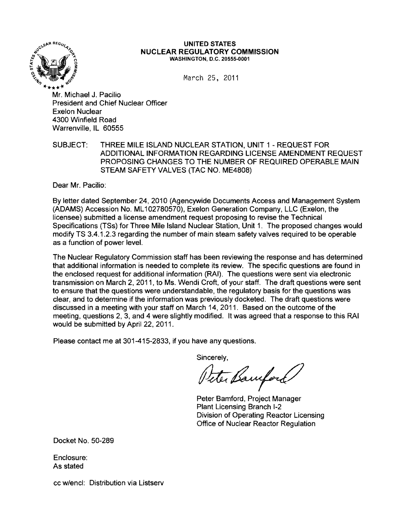

## $\frac{1}{2}$ <sup>CCCEAR REGULA</sup>C<sub>2</sub> UNITED STATES NUCLEAR REGULATORY COMMISSION WASHINGTON, D.C. 20555-0001

 $March$  25, 2011

Mr. Michael J. Pacilio President and Chief Nuclear Officer Exelon Nuclear 4300 Winfield Road Warrenville, IL 60555

SUBJECT: THREE MILE ISLAND NUCLEAR STATION, UNIT 1 - REQUEST FOR ADDITIONAL INFORMATION REGARDING LICENSE AMENDMENT REQUEST PROPOSING CHANGES TO THE NUMBER OF REQUIRED OPERABLE MAIN STEAM SAFETY VALVES (TAC NO. ME4808)

Dear Mr. Pacilio:

By letter dated September 24, 2010 (Agencywide Documents Access and Management System (ADAMS) Accession No. ML 102780570), Exelon Generation Company, LLC (Exelon, the licensee) submitted a license amendment request proposing to revise the Technical Specifications (TSs) for Three Mile Island Nuclear Station, Unit 1. The proposed changes would modify TS 3.4.1.2.3 regarding the number of main steam safety valves required to be operable as a function of power level.

The Nuclear Regulatory Commission staff has been reviewing the response and has determined that additional information is needed to complete its review. The specific questions are found in the enclosed request for additional information (RAI). The questions were sent via electronic transmission on March 2, 2011, to Ms. Wendi Croft, of your staff. The draft questions were sent to ensure that the questions were understandable, the regulatory basis for the questions was clear, and to determine if the information was previously docketed. The draft questions were discussed in a meeting with your staff on March 14, 2011. Based on the outcome of the meeting, questions 2, 3, and 4 were slightly modified. It was agreed that a response to this RAI would be submitted by April 22, 2011.

Please contact me at 301-415-2833, if you have any questions.

Sincerely,

Peter Bamford

Peter Bamford, Project Manager Plant Licensing Branch 1-2 Division of Operating Reactor Licensing Office of Nuclear Reactor Regulation

Docket No. 50-289

Enclosure: As stated

cc w/encl: Distribution via Listserv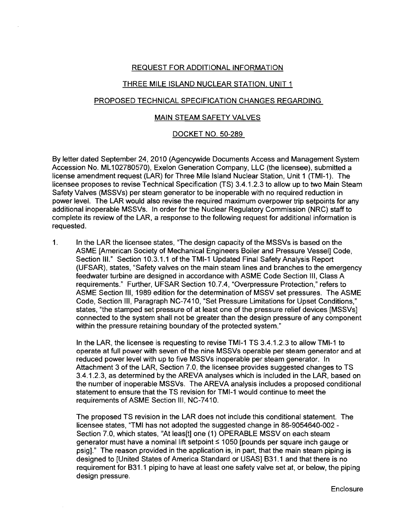## REQUEST FOR ADDITIONAL INFORMATION

# THREE MILE ISLAND NUCLEAR STATION, UNIT 1

## PROPOSED TECHNICAL SPECIFICATION CHANGES REGARDING

#### MAIN STEAM SAFETY VALVES

#### DOCKET NO. 50-289

By letter dated September 24, 2010 (Agencywide Documents Access and Management System Accession No. ML 102780570), Exelon Generation Company, LLC (the licensee), submitted a license amendment request (LAR) for Three Mile Island Nuclear Station, Unit 1 (TMI-1). The licensee proposes to revise Technical Specification (TS) 3.4.1.2.3 to allow up to two Main Steam Safety Valves (MSSVs) per steam generator to be inoperable with no required reduction in power level. The LAR would also revise the required maximum overpower trip setpoints for any additional inoperable MSSVs. In order for the Nuclear Regulatory Commission (NRC) staff to complete its review of the LAR, a response to the following request for additional information is requested.

1. In the LAR the licensee states, "The design capacity of the MSSVs is based on the ASME [American Society of Mechanical Engineers Boiler and Pressure Vessel] Code, Section 111." Section 10.3.1.1 of the TMI-1 Updated Final Safety Analysis Report (UFSAR), states, "Safety valves on the main steam lines and branches to the emergency feedwater turbine are designed in accordance with ASME Code Section III, Class A requirements." Further, UFSAR Section 10.7.4, "Overpressure Protection," refers to ASME Section III, 1989 edition for the determination of MSSV set pressures. The ASME Code, Section III, Paragraph NC-7410, "Set Pressure Limitations for Upset Conditions," states, "the stamped set pressure of at least one of the pressure relief devices [MSSVs] connected to the system shall not be greater than the design pressure of any component within the pressure retaining boundary of the protected system."

In the LAR, the licensee is requesting to revise TMI-1 TS 3.4.1.2.3 to allow TMI-1 to operate at full power with seven of the nine MSSVs operable per steam generator and at reduced power level with up to five MSSVs inoperable per steam generator. In Attachment 3 of the LAR, Section 7.0, the licensee provides suggested changes to TS 3.4.1.2.3, as determined by the AREVA analyses which is included in the LAR, based on the number of inoperable MSSVs. The AREVA analysis includes a proposed conditional statement to ensure that the TS revision for TMI-1 would continue to meet the requirements of ASME Section III, NC-7410.

The proposed TS revision in the LAR does not include this conditional statement. The licensee states, "TMI has not adopted the suggested change in 86-9054640-002 Section 7.0, which states, "At leas[t] one (1) OPERABLE MSSV on each steam generator must have a nominal lift setpoint  $\leq 1050$  [pounds per square inch gauge or psig]." The reason provided in the application is, in part, that the main steam piping is designed to [United States of America Standard or USAS] B31.1 and that there is no requirement for B31.1 piping to have at least one safety valve set at, or below, the piping design pressure.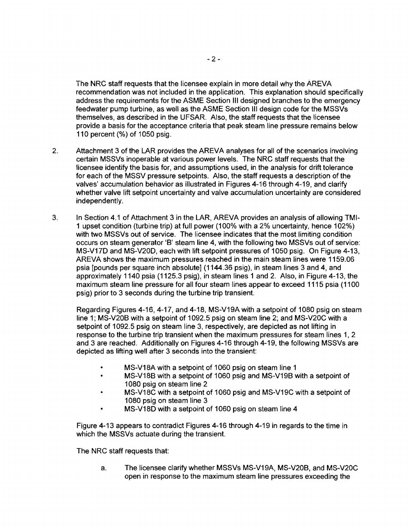The NRC staff requests that the licensee explain in more detail why the AREVA recommendation was not included in the application. This explanation should specifically address the requirements for the ASME Section III designed branches to the emergency feedwater pump turbine, as well as the ASME Section III design code for the MSSVs themselves, as described in the UFSAR. Also, the staff requests that the licensee provide a basis for the acceptance criteria that peak steam line pressure remains below 110 percent (%) of 1050 psig.

- 2. Attachment 3 of the LAR provides the AREVA analyses for all of the scenarios involving certain MSSVs inoperable at various power levels. The NRC staff requests that the licensee identify the basis for, and assumptions used, in the analysis for drift tolerance for each of the MSSV pressure setpoints. Also, the staff requests a description of the valves' accumulation behavior as illustrated in Figures 4-16 through 4-19, and clarify whether valve lift setpoint uncertainty and valve accumulation uncertainty are considered independently.
- 3. In Section 4.1 of Attachment 3 in the LAR, AREVA provides an analysis of allowing TMI-1 upset condition (turbine trip) at full power (100% with a 2% uncertainty, hence 102%) with two MSSVs out of service. The licensee indicates that the most limiting condition occurs on steam generator 'B' steam line 4, with the following two MSSVs out of service: MS-V17D and MS-V20D, each with lift setpoint pressures of 1050 psig. On Figure 4-13, AREVA shows the maximum pressures reached in the main steam lines were 1159.06 psia [pounds per square inch absolute] (1144.36 psig), in steam lines 3 and 4, and approximately 1140 psia (1125.3 psig), in steam lines 1 and 2. Also, in Figure 4-13, the maximum steam line pressure for all four steam lines appear to exceed 1115 psia (1100 psig) prior to 3 seconds during the turbine trip transient.

Regarding Figures 4-16, 4-17, and 4-18, MS-V19A with a setpoint of 1080 psig on steam line 1; MS-V20B with a setpoint of 1092.5 psig on steam line 2; and MS-V20C with a setpoint of 1092.5 psig on steam line 3, respectively, are depicted as not lifting in response to the turbine trip transient when the maximum pressures for steam lines 1, 2 and 3 are reached. Additionally on Figures 4-16 through 4-19, the following MSSVs are depicted as lifting well after 3 seconds into the transient:

- MS-V18A with a setpoint of 1060 psig on steam line 1
- MS-V1BB with a setpoint of 1060 psig and MS-V19B with a setpoint of 10BO psig on steam line 2
- MS-V18C with a setpoint of 1060 psig and MS-V19C with a setpoint of 10BO psig on steam line 3
- MS-V18D with a setpoint of 1060 psig on steam line 4

Figure 4-13 appears to contradict Figures 4-16 through 4-19 in regards to the time in which the MSSVs actuate during the transient.

The NRC staff requests that:

a. The licensee clarify whether MSSVs MS-V19A, MS-V20B, and MS-V20C open in response to the maximum steam line pressures exceeding the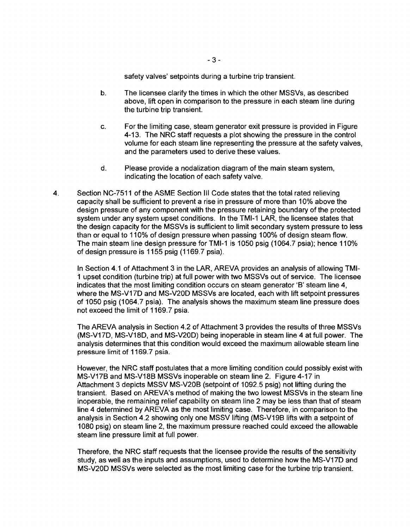safety valves' setpoints during a turbine trip transient.

- b. The licensee clarify the times in which the other MSSVs, as described above, lift open in comparison to the pressure in each steam line during the turbine trip transient.
- c. For the limiting case, steam generator exit pressure is provided in Figure 4-13. The NRC staff requests a plot showing the pressure in the control volume for each steam line representing the pressure at the safety valves, and the parameters used to derive these values.
- d. Please provide a nodalization diagram of the main steam system, indicating the location of each safety valve.
- 4. Section NC-7511 of the ASME Section III Code states that the total rated relieving capacity shall be sufficient to prevent a rise in pressure of more than 10% above the design pressure of any component with the pressure retaining boundary of the protected system under any system upset conditions. In the TMI-1 LAR, the licensee states that the design capacity for the MSSVs is sufficient to limit secondary system pressure to less than or equal to 110% of design pressure when passing 100% of design steam flow. The main steam line design pressure for TMI-1 is 1050 psig (1064.7 psia); hence 110% of design pressure is 1155 psig (1169.7 psia).

In Section 4.1 of Attachment 3 in the LAR, AREVA provides an analysis of allowing TMI-1 upset condition (turbine trip) at full power with two MSSVs out of service. The licensee indicates that the most limiting condition occurs on steam generator 'B' steam line 4, where the MS-V17D and MS-V20D MSSVs are located, each with lift setpoint pressures of 1050 psig (1064.7 psia). The analysis shows the maximum steam line pressure does not exceed the limit of 1169.7 psia.

The AREVA analysis in Section 4.2 of Attachment 3 provides the results of three MSSVs (MS-V17D, MS-V1BD, and MS-V20D) being inoperable in steam line 4 at full power. The analysis determines that this condition would exceed the maximum allowable steam line pressure limit of 1169.7 psia.

However, the NRC staff postulates that a more limiting condition could possibly exist with MS-V17B and MS-V1BB MSSVs inoperable on steam line 2. Figure 4-17 in Attachment 3 depicts MSSV MS-V20B (setpoint of 1092.5 psig) not lifting during the transient. Based on AREVA's method of making the two lowest MSSVs in the steam line inoperable, the remaining relief capability on steam line 2 may be less than that of steam line 4 determined by AREVA as the most limiting case. Therefore, in comparison to the analysis in Section 4.2 showing only one MSSV lifting (MS-V19B lifts with a setpoint of 10BO psig) on steam line 2, the maximum pressure reached could exceed the allowable steam line pressure limit at full power.

Therefore, the NRC staff requests that the licensee provide the results of the sensitivity study, as well as the inputs and assumptions, used to determine how the MS-V17D and MS-V20D MSSVs were selected as the most limiting case for the turbine trip transient.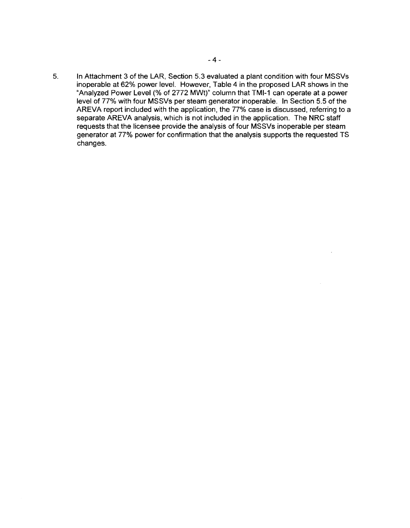5. In Attachment 3 of the LAR, Section 5.3 evaluated a plant condition with four MSSVs inoperable at 62% power level. However, Table 4 in the proposed LAR shows in the "Analyzed Power Level (% of 2772 MWt)" column that TMI-1 can operate at a power level of 77% with four MSSVs per steam generator inoperable. In Section 5.5 of the AREVA report included with the application, the 77% case is discussed, referring to a separate AREVA analysis, which is not included in the application. The NRC staff requests that the licensee provide the analysis of four MSSVs inoperable per steam generator at 77% power for confirmation that the analysis supports the requested TS changes.